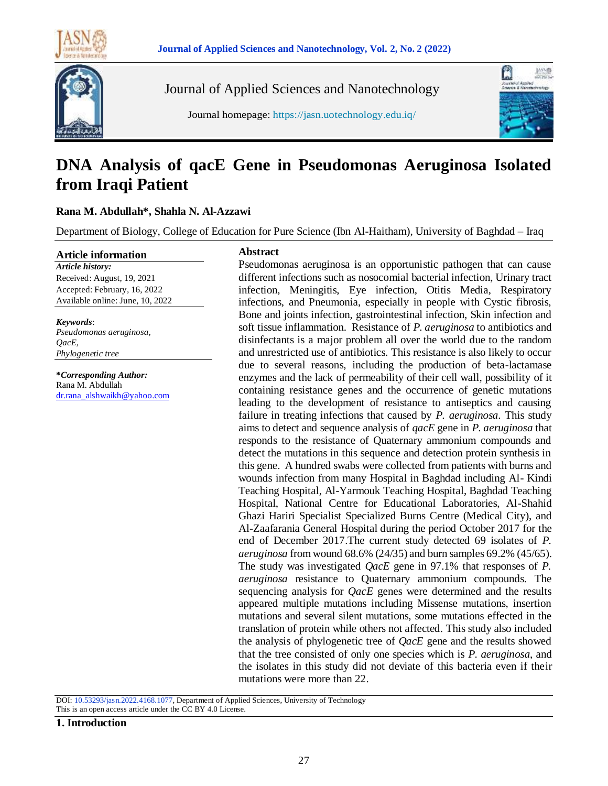



Journal of Applied Sciences and Nanotechnology



Journal homepage: https://jasn.uotechnology.edu.iq/

# **DNA Analysis of qacE Gene in Pseudomonas Aeruginosa Isolated from Iraqi Patient**

# **Rana M. Abdullah\*, Shahla N. Al-Azzawi**

Department of Biology, College of Education for Pure Science (Ibn Al-Haitham), University of Baghdad – Iraq

#### **Article information**

*Article history:* Received: August, 19, 2021 Accepted: February, 16, 2022 Available online: June, 10, 2022

#### *Keywords*:

*Pseudomonas aeruginosa, QacE, Phylogenetic tree*

**\****Corresponding Author:* Rana M. Abdullah [dr.rana\\_alshwaikh@yahoo.com](mailto:dr.rana_alshwaikh@yahoo.com)

#### **Abstract**

Pseudomonas aeruginosa is an opportunistic pathogen that can cause different infections such as nosocomial bacterial infection, Urinary tract infection, Meningitis, Eye infection, Otitis Media, Respiratory infections, and Pneumonia, especially in people with Cystic fibrosis, Bone and joints infection, gastrointestinal infection, Skin infection and soft tissue inflammation. Resistance of *P. aeruginosa* to antibiotics and disinfectants is a major problem all over the world due to the random and unrestricted use of antibiotics. This resistance is also likely to occur due to several reasons, including the production of beta-lactamase enzymes and the lack of permeability of their cell wall, possibility of it containing resistance genes and the occurrence of genetic mutations leading to the development of resistance to antiseptics and causing failure in treating infections that caused by *P. aeruginosa.* This study aims to detect and sequence analysis of *qacE* gene in *P. aeruginosa* that responds to the resistance of Quaternary ammonium compounds and detect the mutations in this sequence and detection protein synthesis in this gene. A hundred swabs were collected from patients with burns and wounds infection from many Hospital in Baghdad including Al- Kindi Teaching Hospital, Al-Yarmouk Teaching Hospital, Baghdad Teaching Hospital, National Centre for Educational Laboratories, Al-Shahid Ghazi Hariri Specialist Specialized Burns Centre (Medical City), and Al-Zaafarania General Hospital during the period October 2017 for the end of December 2017.The current study detected 69 isolates of *P. aeruginosa* from wound 68.6% (24/35) and burn samples 69.2% (45/65). The study was investigated *QacE* gene in 97.1% that responses of *P. aeruginosa* resistance to Quaternary ammonium compounds. The sequencing analysis for *QacE* genes were determined and the results appeared multiple mutations including Missense mutations, insertion mutations and several silent mutations, some mutations effected in the translation of protein while others not affected. This study also included the analysis of phylogenetic tree of *QacE* gene and the results showed that the tree consisted of only one species which is *P. aeruginosa*, and the isolates in this study did not deviate of this bacteria even if their mutations were more than 22.

DOI: 10.53293/jasn.2022.4168.1077, Department of Applied Sciences, University of Technology This is an open access article under the CC BY 4.0 License.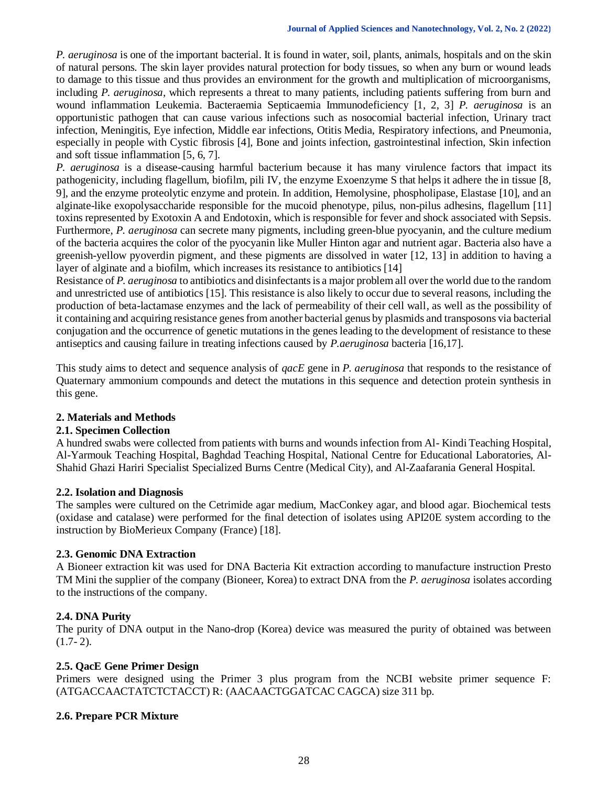*P. aeruginosa* is one of the important bacterial. It is found in water, soil, plants, animals, hospitals and on the skin of natural persons. The skin layer provides natural protection for body tissues, so when any burn or wound leads to damage to this tissue and thus provides an environment for the growth and multiplication of microorganisms, including *P. aeruginosa*, which represents a threat to many patients, including patients suffering from burn and wound inflammation Leukemia. Bacteraemia Septicaemia Immunodeficiency [1, 2, 3] *P. aeruginosa* is an opportunistic pathogen that can cause various infections such as nosocomial bacterial infection, Urinary tract infection, Meningitis, Eye infection, Middle ear infections, Otitis Media, Respiratory infections, and Pneumonia, especially in people with Cystic fibrosis [4], Bone and joints infection, gastrointestinal infection, Skin infection and soft tissue inflammation [5, 6, 7].

*P. aeruginosa* is a disease-causing harmful bacterium because it has many virulence factors that impact its pathogenicity, including flagellum, biofilm, pili IV, the enzyme Exoenzyme S that helps it adhere the in tissue [8, 9], and the enzyme proteolytic enzyme and protein. In addition, Hemolysine, phospholipase, Elastase [10], and an alginate-like exopolysaccharide responsible for the mucoid phenotype, pilus, non-pilus adhesins, flagellum [11] toxins represented by Exotoxin A and Endotoxin, which is responsible for fever and shock associated with Sepsis. Furthermore, *P. aeruginosa* can secrete many pigments, including green-blue pyocyanin, and the culture medium of the bacteria acquires the color of the pyocyanin like Muller Hinton agar and nutrient agar. Bacteria also have a greenish-yellow pyoverdin pigment, and these pigments are dissolved in water [12, 13] in addition to having a layer of alginate and a biofilm, which increases its resistance to antibiotics [14]

Resistance of *P. aeruginosa* to antibiotics and disinfectants is a major problem all over the world due to the random and unrestricted use of antibiotics [15]. This resistance is also likely to occur due to several reasons, including the production of beta-lactamase enzymes and the lack of permeability of their cell wall, as well as the possibility of it containing and acquiring resistance genes from another bacterial genus by plasmids and transposons via bacterial conjugation and the occurrence of genetic mutations in the genes leading to the development of resistance to these antiseptics and causing failure in treating infections caused by *P.aeruginosa* bacteria [16,17].

This study aims to detect and sequence analysis of *qacE* gene in *P. aeruginosa* that responds to the resistance of Quaternary ammonium compounds and detect the mutations in this sequence and detection protein synthesis in this gene.

## **2. Materials and Methods**

## **2.1. Specimen Collection**

A hundred swabs were collected from patients with burns and wounds infection from Al- Kindi Teaching Hospital, Al-Yarmouk Teaching Hospital, Baghdad Teaching Hospital, National Centre for Educational Laboratories, Al-Shahid Ghazi Hariri Specialist Specialized Burns Centre (Medical City), and Al-Zaafarania General Hospital.

## **2.2. Isolation and Diagnosis**

The samples were cultured on the Cetrimide agar medium, MacConkey agar, and blood agar. Biochemical tests (oxidase and catalase) were performed for the final detection of isolates using API20E system according to the instruction by BioMerieux Company (France) [18].

## **2.3. Genomic DNA Extraction**

A Bioneer extraction kit was used for DNA Bacteria Kit extraction according to manufacture instruction Presto TM Mini the supplier of the company (Bioneer, Korea) to extract DNA from the *P. aeruginosa* isolates according to the instructions of the company.

## **2.4. DNA Purity**

The purity of DNA output in the Nano-drop (Korea) device was measured the purity of obtained was between  $(1.7-2).$ 

## **2.5. QacE Gene Primer Design**

Primers were designed using the Primer 3 plus program from the NCBI website primer sequence F: (ATGACCAACTATCTCTACCT) R: (AACAACTGGATCAC CAGCA) size 311 bp.

## **2.6. Prepare PCR Mixture**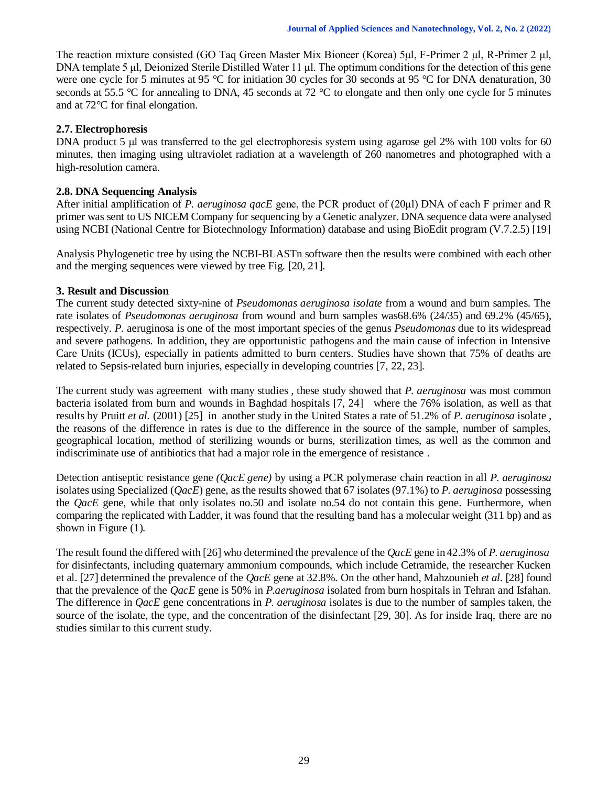The reaction mixture consisted (GO Taq Green Master Mix Bioneer (Korea) 5μl, F-Primer 2 μl, R-Primer 2 μl, DNA template 5 μl, Deionized Sterile Distilled Water 11 μl. The optimum conditions for the detection of this gene were one cycle for 5 minutes at 95 °C for initiation 30 cycles for 30 seconds at 95 °C for DNA denaturation, 30 seconds at 55.5 °C for annealing to DNA, 45 seconds at 72 °C to elongate and then only one cycle for 5 minutes and at 72°C for final elongation.

# **2.7. Electrophoresis**

DNA product 5 μl was transferred to the gel electrophoresis system using agarose gel 2% with 100 volts for 60 minutes, then imaging using ultraviolet radiation at a wavelength of 260 nanometres and photographed with a high-resolution camera.

# **2.8. DNA Sequencing Analysis**

After initial amplification of *P. aeruginosa qacE* gene, the PCR product of (20μl) DNA of each F primer and R primer was sent to US NICEM Company for sequencing by a Genetic analyzer. DNA sequence data were analysed using NCBI (National Centre for Biotechnology Information) database and using BioEdit program (V.7.2.5) [19]

Analysis Phylogenetic tree by using the NCBI-BLASTn software then the results were combined with each other and the merging sequences were viewed by tree Fig. [20, 21].

# **3. Result and Discussion**

The current study detected sixty-nine of *Pseudomonas aeruginosa isolate* from a wound and burn samples. The rate isolates of *Pseudomonas aeruginosa* from wound and burn samples was68.6% (24/35) and 69.2% (45/65), respectively. *P.* aeruginosa is one of the most important species of the genus *Pseudomonas* due to its widespread and severe pathogens. In addition, they are opportunistic pathogens and the main cause of infection in Intensive Care Units (ICUs), especially in patients admitted to burn centers. Studies have shown that 75% of deaths are related to Sepsis-related burn injuries, especially in developing countries [7, 22, 23].

The current study was agreement with many studies , these study showed that *P. aeruginosa* was most common bacteria isolated from burn and wounds in Baghdad hospitals [7, 24] where the 76% isolation, as well as that results by Pruitt *et al.* (2001) [25] in another study in the United States a rate of 51.2% of *P. aeruginosa* isolate , the reasons of the difference in rates is due to the difference in the source of the sample, number of samples, geographical location, method of sterilizing wounds or burns, sterilization times, as well as the common and indiscriminate use of antibiotics that had a major role in the emergence of resistance .

Detection antiseptic resistance gene *(QacE gene)* by using a PCR polymerase chain reaction in all *P. aeruginosa* isolates using Specialized (*QacE*) gene, as the results showed that 67 isolates (97.1%) to *P. aeruginosa* possessing the *QacE* gene, while that only isolates no.50 and isolate no.54 do not contain this gene. Furthermore, when comparing the replicated with Ladder, it was found that the resulting band has a molecular weight (311 bp) and as shown in Figure (1).

The result found the differed with [26] who determined the prevalence of the *QacE* gene in 42.3% of *P. aeruginosa* for disinfectants, including quaternary ammonium compounds, which include Cetramide, the researcher Kucken et al. [27] determined the prevalence of the *QacE* gene at 32.8%. On the other hand, Mahzounieh *et al.* [28] found that the prevalence of the *QacE* gene is 50% in *P.aeruginosa* isolated from burn hospitals in Tehran and Isfahan. The difference in *QacE* gene concentrations in *P. aeruginosa* isolates is due to the number of samples taken, the source of the isolate, the type, and the concentration of the disinfectant [29, 30]. As for inside Iraq, there are no studies similar to this current study.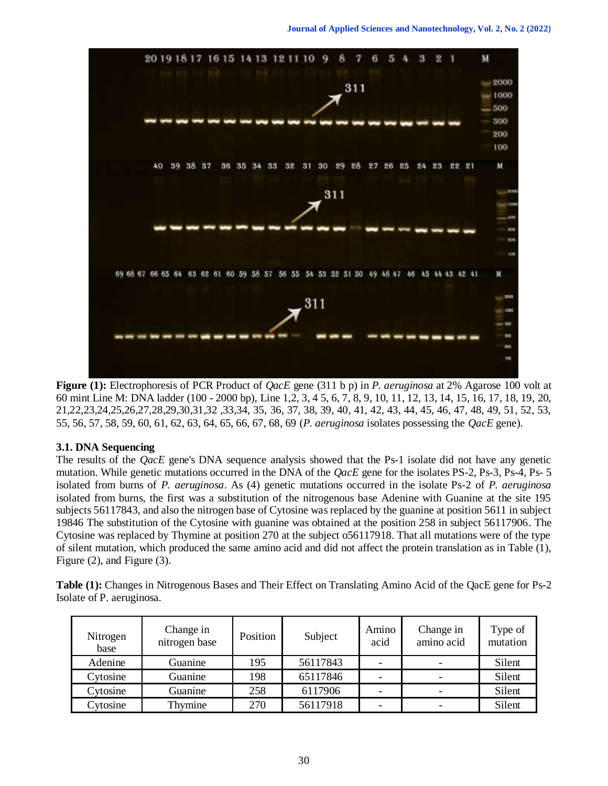

**Figure (1):** Electrophoresis of PCR Product of *QacE* gene (311 b p) in *P. aeruginosa* at 2% Agarose 100 volt at 60 mint Line M: DNA ladder (100 - 2000 bp), Line 1,2, 3, 4 5, 6, 7, 8, 9, 10, 11, 12, 13, 14, 15, 16, 17, 18, 19, 20, 21,22,23,24,25,26,27,28,29,30,31,32 ,33,34, 35, 36, 37, 38, 39, 40, 41, 42, 43, 44, 45, 46, 47, 48, 49, 51, 52, 53, 55, 56, 57, 58, 59, 60, 61, 62, 63, 64, 65, 66, 67, 68, 69 (*P. aeruginosa* isolates possessing the *QacE* gene).

## **3.1. DNA Sequencing**

The results of the *QacE* gene's DNA sequence analysis showed that the Ps-1 isolate did not have any genetic mutation. While genetic mutations occurred in the DNA of the *QacE* gene for the isolates PS-2, Ps-3, Ps-4, Ps- 5 isolated from burns of *P. aeruginosa*. As (4) genetic mutations occurred in the isolate Ps-2 of *P. aeruginosa* isolated from burns, the first was a substitution of the nitrogenous base Adenine with Guanine at the site 195 subjects 56117843, and also the nitrogen base of Cytosine was replaced by the guanine at position 5611 in subject 19846 The substitution of the Cytosine with guanine was obtained at the position 258 in subject 56117906. The Cytosine was replaced by Thymine at position 270 at the subject o56117918. That all mutations were of the type of silent mutation, which produced the same amino acid and did not affect the protein translation as in Table (1), Figure (2), and Figure (3).

**Table (1):** Changes in Nitrogenous Bases and Their Effect on Translating Amino Acid of the QacE gene for Ps-2 Isolate of P. aeruginosa.

| Nitrogen<br>base | Change in<br>nitrogen base | Position | Subject  | Amino<br>acid | Change in<br>amino acid | Type of<br>mutation |
|------------------|----------------------------|----------|----------|---------------|-------------------------|---------------------|
| Adenine          | Guanine                    | 195      | 56117843 |               |                         | Silent              |
| Cytosine         | Guanine                    | 198      | 65117846 |               | -                       | Silent              |
| Cytosine         | Guanine                    | 258      | 6117906  |               |                         | Silent              |
| Cytosine         | Thymine                    | 270      | 56117918 |               | -                       | Silent              |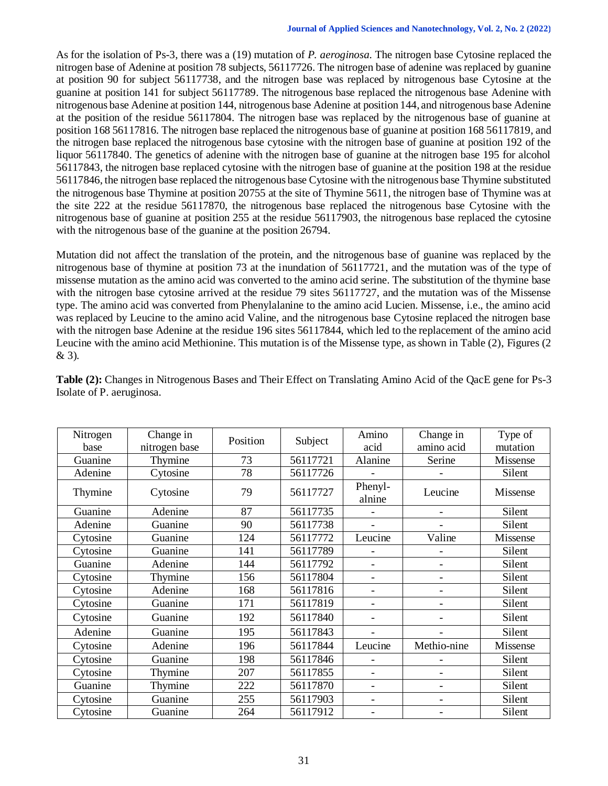As for the isolation of Ps-3, there was a (19) mutation of *P. aeroginosa*. The nitrogen base Cytosine replaced the nitrogen base of Adenine at position 78 subjects, 56117726. The nitrogen base of adenine was replaced by guanine at position 90 for subject 56117738, and the nitrogen base was replaced by nitrogenous base Cytosine at the guanine at position 141 for subject 56117789. The nitrogenous base replaced the nitrogenous base Adenine with nitrogenous base Adenine at position 144, nitrogenous base Adenine at position 144, and nitrogenous base Adenine at the position of the residue 56117804. The nitrogen base was replaced by the nitrogenous base of guanine at position 168 56117816. The nitrogen base replaced the nitrogenous base of guanine at position 168 56117819, and the nitrogen base replaced the nitrogenous base cytosine with the nitrogen base of guanine at position 192 of the liquor 56117840. The genetics of adenine with the nitrogen base of guanine at the nitrogen base 195 for alcohol 56117843, the nitrogen base replaced cytosine with the nitrogen base of guanine at the position 198 at the residue 56117846, the nitrogen base replaced the nitrogenous base Cytosine with the nitrogenous base Thymine substituted the nitrogenous base Thymine at position 20755 at the site of Thymine 5611, the nitrogen base of Thymine was at the site 222 at the residue 56117870, the nitrogenous base replaced the nitrogenous base Cytosine with the nitrogenous base of guanine at position 255 at the residue 56117903, the nitrogenous base replaced the cytosine with the nitrogenous base of the guanine at the position 26794.

Mutation did not affect the translation of the protein, and the nitrogenous base of guanine was replaced by the nitrogenous base of thymine at position 73 at the inundation of 56117721, and the mutation was of the type of missense mutation as the amino acid was converted to the amino acid serine. The substitution of the thymine base with the nitrogen base cytosine arrived at the residue 79 sites 56117727, and the mutation was of the Missense type. The amino acid was converted from Phenylalanine to the amino acid Lucien. Missense, i.e., the amino acid was replaced by Leucine to the amino acid Valine, and the nitrogenous base Cytosine replaced the nitrogen base with the nitrogen base Adenine at the residue 196 sites 56117844, which led to the replacement of the amino acid Leucine with the amino acid Methionine. This mutation is of the Missense type, as shown in Table (2), Figures (2 & 3).

| Nitrogen<br>base | Change in<br>nitrogen base | Position | Subject  | Amino<br>acid            | Change in<br>amino acid      | Type of<br>mutation |
|------------------|----------------------------|----------|----------|--------------------------|------------------------------|---------------------|
| Guanine          | Thymine                    | 73       | 56117721 | Alanine                  | Serine                       | Missense            |
| Adenine          | Cytosine                   | 78       | 56117726 |                          |                              | Silent              |
| Thymine          | Cytosine                   | 79       | 56117727 | Phenyl-<br>alnine        | Leucine                      | Missense            |
| Guanine          | Adenine                    | 87       | 56117735 |                          |                              | Silent              |
| Adenine          | Guanine                    | 90       | 56117738 |                          |                              | Silent              |
| Cytosine         | Guanine                    | 124      | 56117772 | Leucine                  | Valine                       | Missense            |
| Cytosine         | Guanine                    | 141      | 56117789 |                          | $\overline{\phantom{0}}$     | Silent              |
| Guanine          | Adenine                    | 144      | 56117792 | $\overline{\phantom{0}}$ | $\overline{\phantom{a}}$     | Silent              |
| Cytosine         | Thymine                    | 156      | 56117804 |                          | -                            | Silent              |
| Cytosine         | Adenine                    | 168      | 56117816 |                          | -                            | Silent              |
| Cytosine         | Guanine                    | 171      | 56117819 |                          | $\qquad \qquad \blacksquare$ | Silent              |
| Cytosine         | Guanine                    | 192      | 56117840 |                          |                              | Silent              |
| Adenine          | Guanine                    | 195      | 56117843 |                          |                              | Silent              |
| Cytosine         | Adenine                    | 196      | 56117844 | Leucine                  | Methio-nine                  | Missense            |
| Cytosine         | Guanine                    | 198      | 56117846 |                          |                              | Silent              |
| Cytosine         | Thymine                    | 207      | 56117855 | $\overline{\phantom{0}}$ | $\overline{\phantom{a}}$     | Silent              |
| Guanine          | Thymine                    | 222      | 56117870 |                          | $\qquad \qquad \blacksquare$ | Silent              |
| Cytosine         | Guanine                    | 255      | 56117903 |                          | $\qquad \qquad \blacksquare$ | Silent              |
| Cytosine         | Guanine                    | 264      | 56117912 |                          |                              | Silent              |

**Table (2):** Changes in Nitrogenous Bases and Their Effect on Translating Amino Acid of the QacE gene for Ps-3 Isolate of P. aeruginosa.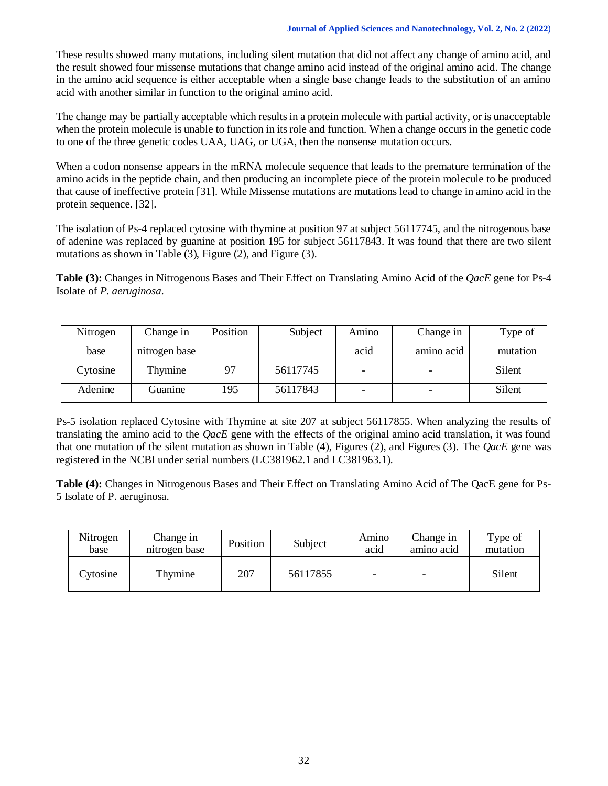These results showed many mutations, including silent mutation that did not affect any change of amino acid, and the result showed four missense mutations that change amino acid instead of the original amino acid. The change in the amino acid sequence is either acceptable when a single base change leads to the substitution of an amino acid with another similar in function to the original amino acid.

The change may be partially acceptable which results in a protein molecule with partial activity, or is unacceptable when the protein molecule is unable to function in its role and function. When a change occurs in the genetic code to one of the three genetic codes UAA, UAG, or UGA, then the nonsense mutation occurs.

When a codon nonsense appears in the mRNA molecule sequence that leads to the premature termination of the amino acids in the peptide chain, and then producing an incomplete piece of the protein molecule to be produced that cause of ineffective protein [31]. While Missense mutations are mutations lead to change in amino acid in the protein sequence. [32].

The isolation of Ps-4 replaced cytosine with thymine at position 97 at subject 56117745, and the nitrogenous base of adenine was replaced by guanine at position 195 for subject 56117843. It was found that there are two silent mutations as shown in Table (3), Figure (2), and Figure (3).

**Table (3):** Changes in Nitrogenous Bases and Their Effect on Translating Amino Acid of the *QacE* gene for Ps-4 Isolate of *P. aeruginosa*.

| Nitrogen | Change in     | Position | Subject  | Amino | Change in  | Type of  |
|----------|---------------|----------|----------|-------|------------|----------|
| base     | nitrogen base |          |          | acid  | amino acid | mutation |
| Cytosine | Thymine       | 97       | 56117745 |       |            | Silent   |
| Adenine  | Guanine       | 195      | 56117843 |       |            | Silent   |

Ps-5 isolation replaced Cytosine with Thymine at site 207 at subject 56117855. When analyzing the results of translating the amino acid to the *QacE* gene with the effects of the original amino acid translation, it was found that one mutation of the silent mutation as shown in Table (4), Figures (2), and Figures (3). The *QacE* gene was registered in the NCBI under serial numbers (LC381962.1 and LC381963.1).

**Table (4):** Changes in Nitrogenous Bases and Their Effect on Translating Amino Acid of The QacE gene for Ps-5 Isolate of P. aeruginosa.

| Nitrogen<br>base | Change in<br>nitrogen base | Position | Subject  | Amino<br>acid            | Change in<br>amino acid  | Type of<br>mutation |
|------------------|----------------------------|----------|----------|--------------------------|--------------------------|---------------------|
| <b>Extosine</b>  | Thymine                    | 207      | 56117855 | $\overline{\phantom{a}}$ | $\overline{\phantom{0}}$ | Silent              |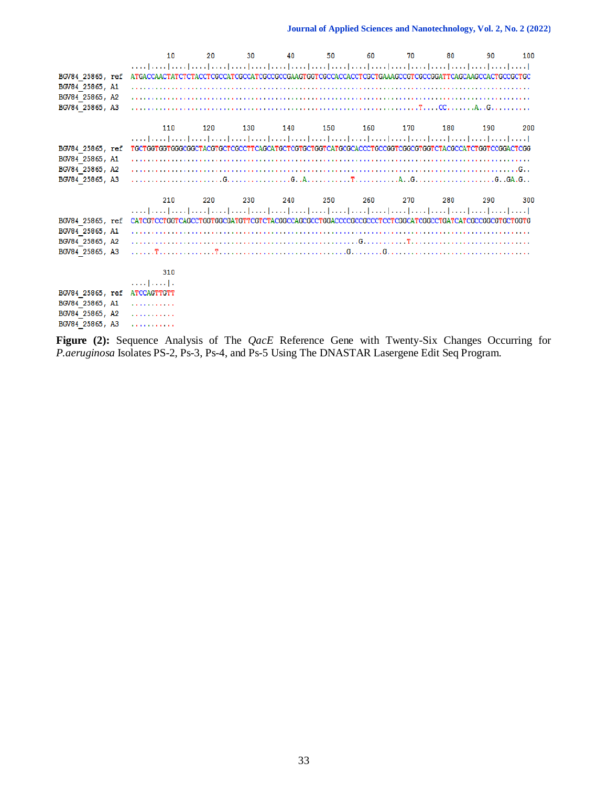|                  | 10                                                                                                                     | 20  | 30  | 40  | 50      | 60  | 70  | 80  | 90  | 100 |
|------------------|------------------------------------------------------------------------------------------------------------------------|-----|-----|-----|---------|-----|-----|-----|-----|-----|
|                  |                                                                                                                        |     |     |     |         |     |     |     |     |     |
| BGV84 25865, ref | ATGACCAACTATCTCTACCTCGCCATCGCCATCGCCGCCGAAGTGGTCGCCACCACCTCGCTGAAAGCCGTCGCCGGATTCAGCAAGCCACTGCCGCTGC                   |     |     |     |         |     |     |     |     |     |
| BGV84 25865, A1  |                                                                                                                        |     |     |     |         |     |     |     |     |     |
| BGV84 25865, A2  |                                                                                                                        |     |     |     |         |     |     |     |     |     |
| BGV84 25865, A3  |                                                                                                                        |     |     |     |         |     |     |     |     |     |
|                  |                                                                                                                        |     |     |     |         |     |     |     |     |     |
|                  | 110                                                                                                                    | 120 | 130 | 140 | 150 160 |     | 170 | 180 | 190 | 200 |
|                  | المتما وتتباعيننا تبينا تبينا تبينا تبينا وتبيا تبينا تبينا تبينا تبينا تبينا تبينا تبينا تبينا تبينا وتبيا تبينا تبين |     |     |     |         |     |     |     |     |     |
| BGV84 25865, ref | TGCTGGTGGTGGCGGCTACGTGCTCGCCTTCAGCATGCTCGTGCTGGTCATGCGCACCCTGCCGGTCGGCGTGGTCTACGCCATCTGGTCCGGACTCGG                    |     |     |     |         |     |     |     |     |     |
| BGV84 25865, A1  |                                                                                                                        |     |     |     |         |     |     |     |     |     |
| BGV84 25865, A2  |                                                                                                                        |     |     |     |         |     |     |     |     |     |
| BGV84 25865, A3  |                                                                                                                        |     |     |     |         |     |     |     |     |     |
|                  |                                                                                                                        |     |     |     |         |     |     |     |     |     |
|                  |                                                                                                                        |     |     |     |         |     |     |     |     |     |
|                  | 210                                                                                                                    | 220 | 230 | 240 | 250     | 260 | 270 | 280 | 290 | 300 |
|                  |                                                                                                                        |     |     |     |         |     |     |     |     |     |
| BGV84 25865, ref | CATCGTCCTGGTCAGCCTGGTGGCGATGTTCGTCTACGGCCAGCGCCTGGACCCCGCCGCCTCCTCGGCATCGGCCTGATCATCGCCGGCGTGCTGGTG                    |     |     |     |         |     |     |     |     |     |
| BGV84 25865, A1  |                                                                                                                        |     |     |     |         |     |     |     |     |     |
| BGV84 25865, A2  |                                                                                                                        |     |     |     |         |     |     |     |     |     |
| BGV84 25865, A3  |                                                                                                                        |     |     |     |         |     |     |     |     |     |
|                  |                                                                                                                        |     |     |     |         |     |     |     |     |     |
|                  | 310                                                                                                                    |     |     |     |         |     |     |     |     |     |
|                  | والمتمامين                                                                                                             |     |     |     |         |     |     |     |     |     |
| BGV84 25865, ref | ATCCAGTTGTT                                                                                                            |     |     |     |         |     |     |     |     |     |
| BGV84 25865, A1  | .                                                                                                                      |     |     |     |         |     |     |     |     |     |
| BGV84 25865, A2  | .                                                                                                                      |     |     |     |         |     |     |     |     |     |

**Figure (2):** Sequence Analysis of The *QacE* Reference Gene with Twenty-Six Changes Occurring for *P.aeruginosa* Isolates PS-2, Ps-3, Ps-4, and Ps-5 Using The DNASTAR Lasergene Edit Seq Program.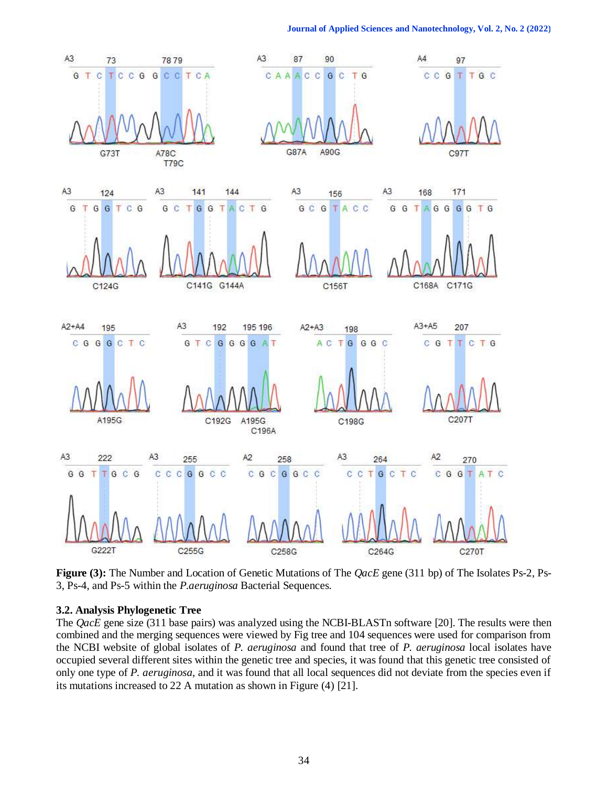

**Figure (3):** The Number and Location of Genetic Mutations of The *QacE* gene (311 bp) of The Isolates Ps-2, Ps-3, Ps-4, and Ps-5 within the *P.aeruginosa* Bacterial Sequences.

# **3.2. Analysis Phylogenetic Tree**

The *QacE* gene size (311 base pairs) was analyzed using the NCBI-BLASTn software [20]. The results were then combined and the merging sequences were viewed by Fig tree and 104 sequences were used for comparison from the NCBI website of global isolates of *P. aeruginosa* and found that tree of *P. aeruginosa* local isolates have occupied several different sites within the genetic tree and species, it was found that this genetic tree consisted of only one type of *P. aeruginosa*, and it was found that all local sequences did not deviate from the species even if its mutations increased to 22 A mutation as shown in Figure (4) [21].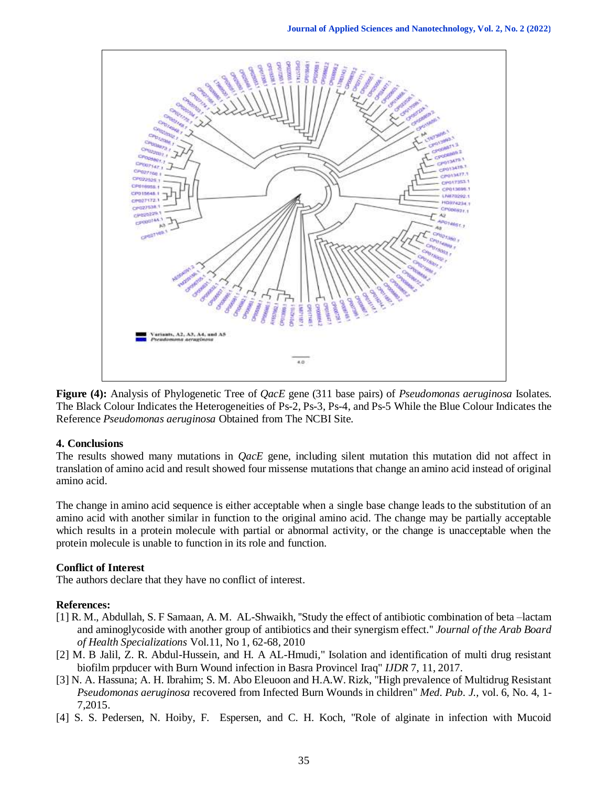

**Figure (4):** Analysis of Phylogenetic Tree of *QacE* gene (311 base pairs) of *Pseudomonas aeruginosa* Isolates. The Black Colour Indicates the Heterogeneities of Ps-2, Ps-3, Ps-4, and Ps-5 While the Blue Colour Indicates the Reference *Pseudomonas aeruginosa* Obtained from The NCBI Site.

#### **4. Conclusions**

The results showed many mutations in *QacE* gene, including silent mutation this mutation did not affect in translation of amino acid and result showed four missense mutations that change an amino acid instead of original amino acid.

The change in amino acid sequence is either acceptable when a single base change leads to the substitution of an amino acid with another similar in function to the original amino acid. The change may be partially acceptable which results in a protein molecule with partial or abnormal activity, or the change is unacceptable when the protein molecule is unable to function in its role and function.

## **Conflict of Interest**

The authors declare that they have no conflict of interest.

## **References:**

- [1] R. M., Abdullah, S. F Samaan, A. M. AL-Shwaikh, ''Study the effect of antibiotic combination of beta –lactam and aminoglycoside with another group of antibiotics and their synergism effect.'' *Journal of the Arab Board of Health Specializations* Vol.11, No 1, 62-68, 2010
- [2] M. B Jalil, Z. R. Abdul-Hussein, and H. A AL-Hmudi," Isolation and identification of multi drug resistant biofilm prpducer with Burn Wound infection in Basra Provincel Iraq" *IJDR* 7, 11, 2017.
- [3] N. A. Hassuna; A. H. Ibrahim; S. M. Abo Eleuoon and H.A.W. Rizk, "High prevalence of Multidrug Resistant *Pseudomonas aeruginosa* recovered from Infected Burn Wounds in children" *Med. Pub. J.,* vol. 6, No. 4, 1- 7,2015.
- [4] S. S. Pedersen, N. Hoiby, F. Espersen, and C. H. Koch, "Role of alginate in infection with Mucoid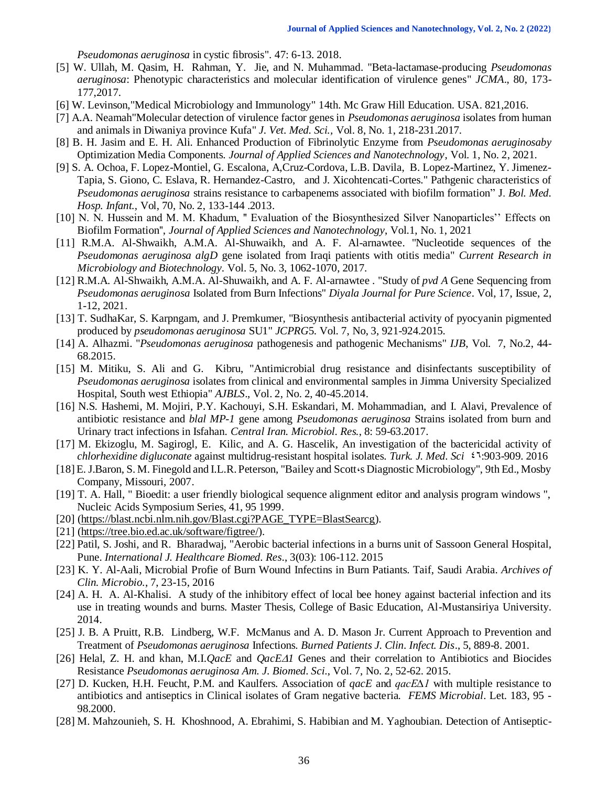*Pseudomonas aeruginosa* in cystic fibrosis". 47: 6-13. 2018.

- [5] W. Ullah, M. Qasim, H. Rahman, Y. Jie, and N. Muhammad. "Beta-lactamase-producing *Pseudomonas aeruginosa*: Phenotypic characteristics and molecular identification of virulence genes" *JCMA*., 80, 173- 177,2017.
- [6] W. Levinson,"Medical Microbiology and Immunology" 14th. Mc Graw Hill Education. USA. 821,2016.
- [7] A.A. Neamah"Molecular detection of virulence factor genes in *Pseudomonas aeruginosa* isolates from human and animals in Diwaniya province Kufa" *J. Vet. Med. Sci.,* Vol. 8, No. 1, 218-231.2017.
- [8] B. H. Jasim and E. H. Ali. Enhanced Production of Fibrinolytic Enzyme from *Pseudomonas aeruginosaby* Optimization Media Components. *Journal of Applied Sciences and Nanotechnology*, Vol. 1, No. 2, 2021.
- [9] S. A. Ochoa, F. Lopez-Montiel, G. Escalona, A,Cruz-Cordova, L.B. Davila, B. Lopez-Martinez, Y. Jimenez-Tapia, S. Giono, C. Eslava, R. Hernandez-Castro, and J. Xicohtencati-Cortes." Pathgenic characteristics of *Pseudomonas aeruginosa* strains resistance to carbapenems associated with biofilm formation" J. *Bol. Med. Hosp. Infant.,* Vol, 70, No. 2, 133-144 .2013.
- [10] N. N. Hussein and M. M. Khadum, " Evaluation of the Biosynthesized Silver Nanoparticles" Effects on Biofilm Formation'', *Journal of Applied Sciences and Nanotechnology*, Vol.1, No. 1, 2021
- [11] R.M.A. Al-Shwaikh, A.M.A. Al-Shuwaikh, and A. F. Al-arnawtee. "Nucleotide sequences of the *Pseudomonas aeruginosa algD* gene isolated from Iraqi patients with otitis media" *Current Research in Microbiology and Biotechnology*. Vol. 5, No. 3, 1062-1070, 2017.
- [12] R.M.A. Al-Shwaikh, A.M.A. Al-Shuwaikh, and A. F. Al-arnawtee . "Study of *pvd A* Gene Sequencing from *Pseudomonas aeruginosa* Isolated from Burn Infections" *Diyala Journal for Pure Science*. Vol, 17, Issue, 2, 1-12, 2021.
- [13] T. SudhaKar, S. Karpngam, and J. Premkumer, "Biosynthesis antibacterial activity of pyocyanin pigmented produced by *pseudomonas aeruginosa* SU1" *JCPRG*5. Vol. 7, No, 3, 921-924.2015.
- [14] A. Alhazmi. "*Pseudomonas aeruginosa* pathogenesis and pathogenic Mechanisms" *IJB*, Vol. 7, No.2, 44- 68.2015.
- [15] M. Mitiku, S. Ali and G. Kibru, "Antimicrobial drug resistance and disinfectants susceptibility of *Pseudomonas aeruginosa* isolates from clinical and environmental samples in Jimma University Specialized Hospital, South west Ethiopia" *AJBLS*., Vol. 2, No. 2, 40-45.2014.
- [16] N.S. Hashemi, M. Mojiri, P.Y. Kachouyi, S.H. Eskandari, M. Mohammadian, and I. Alavi, Prevalence of antibiotic resistance and *blal MP-1* gene among *Pseudomonas aeruginosa* Strains isolated from burn and Urinary tract infections in Isfahan. *Central Iran. Microbiol. Res.*, 8: 59-63.2017.
- [17] M. Ekizoglu, M. Sagirogl, E. Kilic, and A. G. Hascelik, An investigation of the bactericidal activity of *chlorhexidine digluconate* against multidrug-resistant hospital isolates. *Turk. J. Med. Sci*  $\epsilon^4$ :903-909. 2016
- [18] E. J.Baron, S. M. Finegold and I.L.R. Peterson, "Bailey and Scott،s Diagnostic Microbiology", 9th Ed., Mosby Company, Missouri, 2007.
- [19] T. A. Hall, " Bioedit: a user friendly biological sequence alignment editor and analysis program windows ", Nucleic Acids Symposium Series, 41, 95 1999.
- [20] [\(https://blast.ncbi.nlm.nih.gov/Blast.cgi?PAGE\\_TYPE=BlastSearcg\)](https://blast.ncbi.nlm.nih.gov/Blast.cgi?PAGE_TYPE=BlastSearcg).
- [21] [\(https://tree.bio.ed.ac.uk/software/figtree/\)](https://tree.bio.ed.ac.uk/software/figtree/).
- [22] Patil, S. Joshi, and R. Bharadwaj, "Aerobic bacterial infections in a burns unit of Sassoon General Hospital, Pune. *International J. Healthcare Biomed. Res*., 3(03): 106-112. 2015
- [23] K. Y. Al-Aali, Microbial Profie of Burn Wound Infectins in Burn Patiants. Taif, Saudi Arabia. *Archives of Clin. Microbio.*, 7, 23-15, 2016
- [24] A. H. A. Al-Khalisi. A study of the inhibitory effect of local bee honey against bacterial infection and its use in treating wounds and burns. Master Thesis, College of Basic Education, Al-Mustansiriya University. 2014.
- [25] J. B. A Pruitt, R.B. Lindberg, W.F. McManus and A. D. Mason Jr. Current Approach to Prevention and Treatment of *Pseudomonas aeruginosa* Infections. *Burned Patients J. Clin. Infect. Dis*., 5, 889-8. 2001.
- [26] Helal, Z. H. and khan, M.I.*QacE* and *QacE1* Genes and their correlation to Antibiotics and Biocides Resistance *Pseudomonas aeruginosa Am. J. Biomed. Sci*., Vol. 7, No. 2, 52-62. 2015.
- [27] D. Kucken, H.H. Feucht, P.M. and Kaulfers. Association of *qacE* and *qacE∆1* with multiple resistance to antibiotics and antiseptics in Clinical isolates of Gram negative bacteria*. FEMS Microbial*. Let. 183, 95 - 98.2000.
- [28] M. Mahzounieh, S. H. Khoshnood, A. Ebrahimi, S. Habibian and M. Yaghoubian. Detection of Antiseptic-